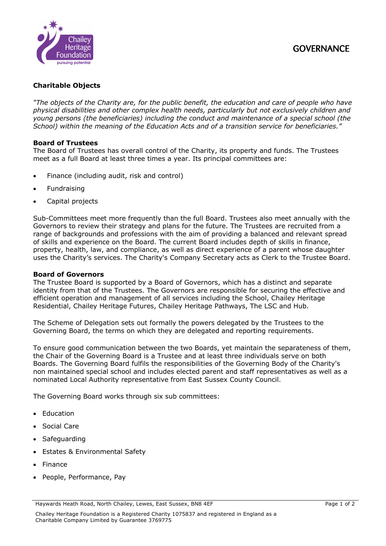

# **Charitable Objects**

*"The objects of the Charity are, for the public benefit, the education and care of people who have physical disabilities and other complex health needs, particularly but not exclusively children and young persons (the beneficiaries) including the conduct and maintenance of a special school (the School) within the meaning of the Education Acts and of a transition service for beneficiaries."*

# **Board of Trustees**

The Board of Trustees has overall control of the Charity, its property and funds. The Trustees meet as a full Board at least three times a year. Its principal committees are:

- Finance (including audit, risk and control)
- **Fundraising**
- Capital projects

Sub-Committees meet more frequently than the full Board. Trustees also meet annually with the Governors to review their strategy and plans for the future. The Trustees are recruited from a range of backgrounds and professions with the aim of providing a balanced and relevant spread of skills and experience on the Board. The current Board includes depth of skills in finance, property, health, law, and compliance, as well as direct experience of a parent whose daughter uses the Charity's services. The Charity's Company Secretary acts as Clerk to the Trustee Board.

#### **Board of Governors**

The Trustee Board is supported by a Board of Governors, which has a distinct and separate identity from that of the Trustees. The Governors are responsible for securing the effective and efficient operation and management of all services including the School, Chailey Heritage Residential, Chailey Heritage Futures, Chailey Heritage Pathways, The LSC and Hub.

The Scheme of Delegation sets out formally the powers delegated by the Trustees to the Governing Board, the terms on which they are delegated and reporting requirements.

To ensure good communication between the two Boards, yet maintain the separateness of them, the Chair of the Governing Board is a Trustee and at least three individuals serve on both Boards. The Governing Board fulfils the responsibilities of the Governing Body of the Charity's non maintained special school and includes elected parent and staff representatives as well as a nominated Local Authority representative from East Sussex County Council.

The Governing Board works through six sub committees:

- Education
- Social Care
- Safeguarding
- Estates & Environmental Safety
- Finance
- People, Performance, Pay

Haywards Heath Road, North Chailey, Lewes, East Sussex, BN8 4EF